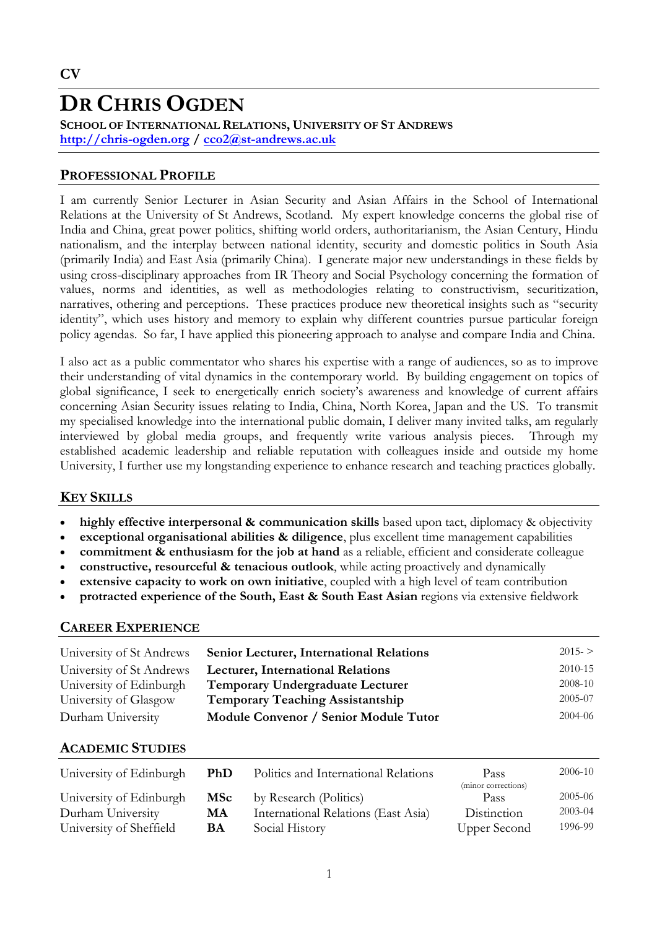# **DR CHRIS OGDEN**

**SCHOOL OF INTERNATIONAL RELATIONS, UNIVERSITY OF ST ANDREWS http://chris-ogden.org / cco2@st-andrews.ac.uk**

### **PROFESSIONAL PROFILE**

I am currently Senior Lecturer in Asian Security and Asian Affairs in the School of International Relations at the University of St Andrews, Scotland. My expert knowledge concerns the global rise of India and China, great power politics, shifting world orders, authoritarianism, the Asian Century, Hindu nationalism, and the interplay between national identity, security and domestic politics in South Asia (primarily India) and East Asia (primarily China). I generate major new understandings in these fields by using cross-disciplinary approaches from IR Theory and Social Psychology concerning the formation of values, norms and identities, as well as methodologies relating to constructivism, securitization, narratives, othering and perceptions. These practices produce new theoretical insights such as "security identity", which uses history and memory to explain why different countries pursue particular foreign policy agendas. So far, I have applied this pioneering approach to analyse and compare India and China.

I also act as a public commentator who shares his expertise with a range of audiences, so as to improve their understanding of vital dynamics in the contemporary world. By building engagement on topics of global significance, I seek to energetically enrich society's awareness and knowledge of current affairs concerning Asian Security issues relating to India, China, North Korea, Japan and the US. To transmit my specialised knowledge into the international public domain, I deliver many invited talks, am regularly interviewed by global media groups, and frequently write various analysis pieces. Through my established academic leadership and reliable reputation with colleagues inside and outside my home University, I further use my longstanding experience to enhance research and teaching practices globally.

# **KEY SKILLS**

- **highly effective interpersonal & communication skills** based upon tact, diplomacy & objectivity
- **exceptional organisational abilities & diligence**, plus excellent time management capabilities
- **commitment & enthusiasm for the job at hand** as a reliable, efficient and considerate colleague
- **constructive, resourceful & tenacious outlook**, while acting proactively and dynamically
- **extensive capacity to work on own initiative**, coupled with a high level of team contribution
- **protracted experience of the South, East & South East Asian** regions via extensive fieldwork

# **CAREER EXPERIENCE**

| University of St Andrews | <b>Senior Lecturer, International Relations</b> | $2015 - 5$ |
|--------------------------|-------------------------------------------------|------------|
| University of St Andrews | <b>Lecturer, International Relations</b>        | 2010-15    |
| University of Edinburgh  | Temporary Undergraduate Lecturer                | 2008-10    |
| University of Glasgow    | <b>Temporary Teaching Assistantship</b>         | 2005-07    |
| Durham University        | Module Convenor / Senior Module Tutor           | 2004-06    |

### **ACADEMIC STUDIES**

| University of Edinburgh | <b>PhD</b> | Politics and International Relations | Pass<br>(minor corrections) | 2006-10     |
|-------------------------|------------|--------------------------------------|-----------------------------|-------------|
| University of Edinburgh | <b>MSc</b> | by Research (Politics)               | Pass                        | 2005-06     |
| Durham University       | МA         | International Relations (East Asia)  | Distinction                 | $2003 - 04$ |
| University of Sheffield | <b>BA</b>  | Social History                       | Upper Second                | 1996-99     |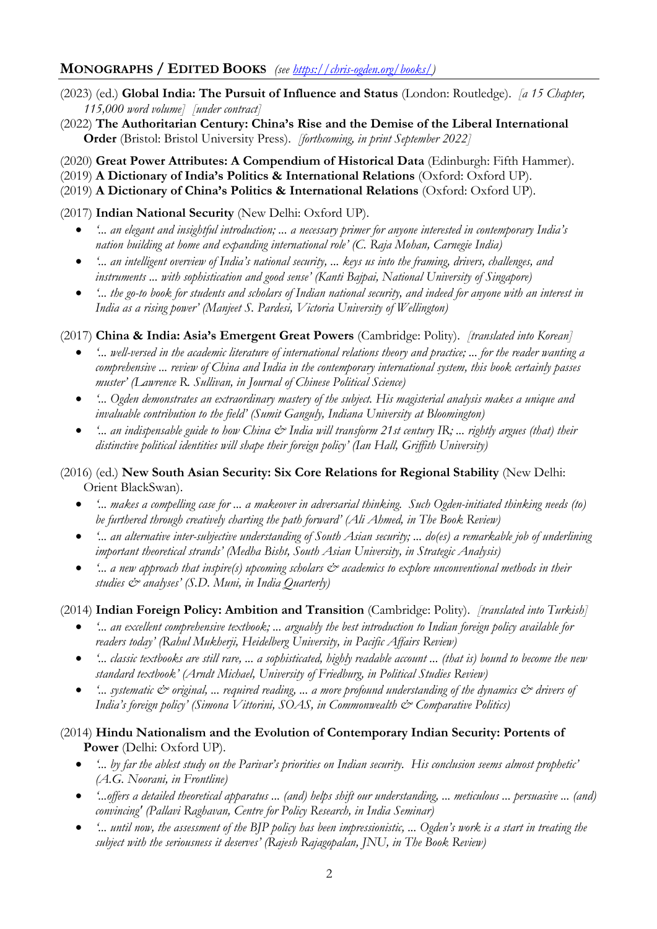# **MONOGRAPHS / EDITED BOOKS** *(see https://chris-ogden.org/books/)*

- (2023) (ed.) **Global India: The Pursuit of Influence and Status** (London: Routledge). *[a 15 Chapter, 115,000 word volume] [under contract]*
- (2022) **The Authoritarian Century: China's Rise and the Demise of the Liberal International Order** (Bristol: Bristol University Press). *[forthcoming, in print September 2022]*
- (2020) **Great Power Attributes: A Compendium of Historical Data** (Edinburgh: Fifth Hammer).
- (2019) **A Dictionary of India's Politics & International Relations** (Oxford: Oxford UP).
- (2019) **A Dictionary of China's Politics & International Relations** (Oxford: Oxford UP).

(2017) **Indian National Security** (New Delhi: Oxford UP).

- *'... an elegant and insightful introduction; ... a necessary primer for anyone interested in contemporary India's nation building at home and expanding international role' (C. Raja Mohan, Carnegie India)*
- *'... an intelligent overview of India's national security, ... keys us into the framing, drivers, challenges, and instruments ... with sophistication and good sense' (Kanti Bajpai, National University of Singapore)*
- *'... the go-to book for students and scholars of Indian national security, and indeed for anyone with an interest in India as a rising power' (Manjeet S. Pardesi, Victoria University of Wellington)*

(2017) **China & India: Asia's Emergent Great Powers** (Cambridge: Polity). *[translated into Korean]*

- *'... well-versed in the academic literature of international relations theory and practice; ... for the reader wanting a comprehensive ... review of China and India in the contemporary international system, this book certainly passes muster' (Lawrence R. Sullivan, in Journal of Chinese Political Science)*
- *'... Ogden demonstrates an extraordinary mastery of the subject. His magisterial analysis makes a unique and invaluable contribution to the field' (Sumit Ganguly, Indiana University at Bloomington)*
- <sup>4</sup>... an indispensable guide to how China  $\mathcal{Q}^*$  India will transform 21st century IR; ... rightly argues (that) their *distinctive political identities will shape their foreign policy' (Ian Hall, Griffith University)*

#### (2016) (ed.) **New South Asian Security: Six Core Relations for Regional Stability** (New Delhi: Orient BlackSwan).

- *'... makes a compelling case for ... a makeover in adversarial thinking. Such Ogden-initiated thinking needs (to) be furthered through creatively charting the path forward' (Ali Ahmed, in The Book Review)*
- *'... an alternative inter-subjective understanding of South Asian security; ... do(es) a remarkable job of underlining important theoretical strands' (Medha Bisht, South Asian University, in Strategic Analysis)*
- *'... a new approach that inspire(s) upcoming scholars*  $\mathcal{O}^*$  *academics to explore unconventional methods in their studies & analyses' (S.D. Muni, in India Quarterly)*

### (2014) **Indian Foreign Policy: Ambition and Transition** (Cambridge: Polity). *[translated into Turkish]*

- <sup>4</sup>... an excellent comprehensive textbook; ... arguably the best introduction to Indian foreign policy available for *readers today' (Rahul Mukherji, Heidelberg University, in Pacific Affairs Review)*
- *'... classic textbooks are still rare, ... a sophisticated, highly readable account ... (that is) bound to become the new standard textbook' (Arndt Michael, University of Friedburg, in Political Studies Review)*
- *'... systematic & original, ... required reading, ... a more profound understanding of the dynamics & drivers of India's foreign policy' (Simona Vittorini, SOAS, in Commonwealth*  $\mathcal{O}$  *Comparative Politics)*

### (2014) **Hindu Nationalism and the Evolution of Contemporary Indian Security: Portents of Power** (Delhi: Oxford UP).

- *'... by far the ablest study on the Parivar's priorities on Indian security. His conclusion seems almost prophetic' (A.G. Noorani, in Frontline)*
- *'...offers a detailed theoretical apparatus ... (and) helps shift our understanding, ... meticulous ... persuasive ... (and) convincing' (Pallavi Raghavan, Centre for Policy Research, in India Seminar)*
- *'... until now, the assessment of the BJP policy has been impressionistic, ... Ogden's work is a start in treating the subject with the seriousness it deserves' (Rajesh Rajagopalan, JNU, in The Book Review)*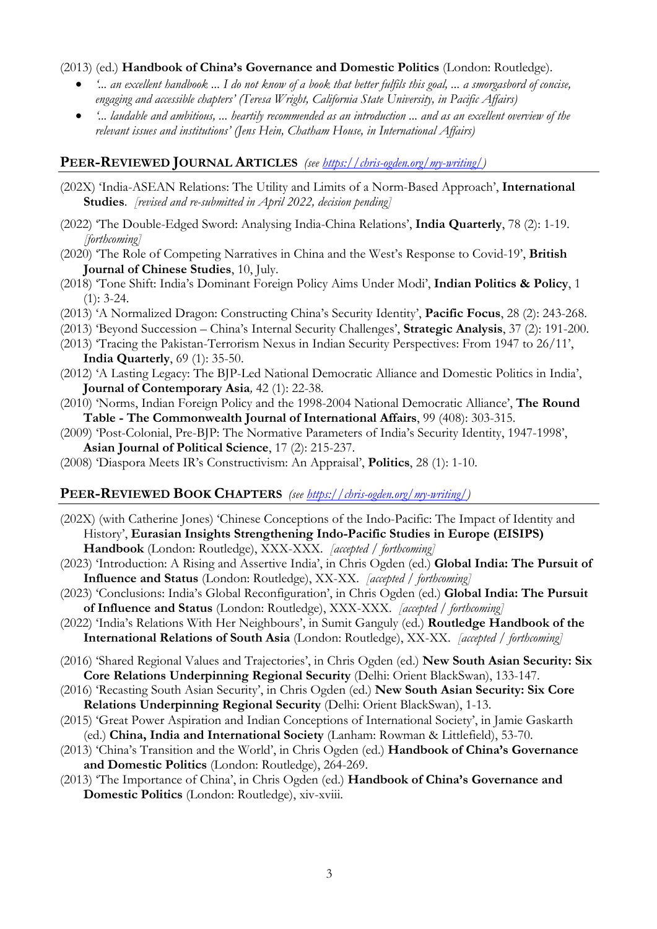#### (2013) (ed.) **Handbook of China's Governance and Domestic Politics** (London: Routledge).

- *'... an excellent handbook ... I do not know of a book that better fulfils this goal, ... a smorgasbord of concise, engaging and accessible chapters' (Teresa Wright, California State University, in Pacific Affairs)*
- *'... laudable and ambitious, ... heartily recommended as an introduction ... and as an excellent overview of the relevant issues and institutions' (Jens Hein, Chatham House, in International Affairs)*

#### **PEER-REVIEWED JOURNAL ARTICLES** *(see https://chris-ogden.org/my-writing/)*

- (202X) 'India-ASEAN Relations: The Utility and Limits of a Norm-Based Approach', **International Studies**. *[revised and re-submitted in April 2022, decision pending]*
- (2022) 'The Double-Edged Sword: Analysing India-China Relations', **India Quarterly**, 78 (2): 1-19. *[forthcoming]*
- (2020) 'The Role of Competing Narratives in China and the West's Response to Covid-19', **British Journal of Chinese Studies**, 10, July.
- (2018) 'Tone Shift: India's Dominant Foreign Policy Aims Under Modi', **Indian Politics & Policy**, 1  $(1): 3-24.$
- (2013) 'A Normalized Dragon: Constructing China's Security Identity', **Pacific Focus**, 28 (2): 243-268.
- (2013) 'Beyond Succession China's Internal Security Challenges', **Strategic Analysis**, 37 (2): 191-200.
- (2013) 'Tracing the Pakistan-Terrorism Nexus in Indian Security Perspectives: From 1947 to 26/11', **India Quarterly**, 69 (1): 35-50.
- (2012) 'A Lasting Legacy: The BJP-Led National Democratic Alliance and Domestic Politics in India', **Journal of Contemporary Asia***,* 42 (1): 22-38*.*
- (2010) 'Norms, Indian Foreign Policy and the 1998-2004 National Democratic Alliance', **The Round Table - The Commonwealth Journal of International Affairs**, 99 (408): 303-315.
- (2009) 'Post-Colonial, Pre-BJP: The Normative Parameters of India's Security Identity, 1947-1998', **Asian Journal of Political Science**, 17 (2): 215-237.
- (2008) 'Diaspora Meets IR's Constructivism: An Appraisal', **Politics**, 28 (1): 1-10.

#### **PEER-REVIEWED BOOK CHAPTERS** *(see https://chris-ogden.org/my-writing/)*

- (202X) (with Catherine Jones) 'Chinese Conceptions of the Indo-Pacific: The Impact of Identity and History', **Eurasian Insights Strengthening Indo-Pacific Studies in Europe (EISIPS) Handbook** (London: Routledge), XXX-XXX. *[accepted / forthcoming]*
- (2023) 'Introduction: A Rising and Assertive India', in Chris Ogden (ed.) **Global India: The Pursuit of Influence and Status** (London: Routledge), XX-XX. *[accepted / forthcoming]*
- (2023) 'Conclusions: India's Global Reconfiguration', in Chris Ogden (ed.) **Global India: The Pursuit of Influence and Status** (London: Routledge), XXX-XXX. *[accepted / forthcoming]*
- (2022) 'India's Relations With Her Neighbours', in Sumit Ganguly (ed.) **Routledge Handbook of the International Relations of South Asia** (London: Routledge), XX-XX. *[accepted / forthcoming]*
- (2016) 'Shared Regional Values and Trajectories', in Chris Ogden (ed.) **New South Asian Security: Six Core Relations Underpinning Regional Security** (Delhi: Orient BlackSwan), 133-147.
- (2016) 'Recasting South Asian Security', in Chris Ogden (ed.) **New South Asian Security: Six Core Relations Underpinning Regional Security** (Delhi: Orient BlackSwan), 1-13.
- (2015) 'Great Power Aspiration and Indian Conceptions of International Society', in Jamie Gaskarth (ed.) **China, India and International Society** (Lanham: Rowman & Littlefield), 53-70.
- (2013) 'China's Transition and the World', in Chris Ogden (ed.) **Handbook of China's Governance and Domestic Politics** (London: Routledge), 264-269.
- (2013) 'The Importance of China', in Chris Ogden (ed.) **Handbook of China's Governance and Domestic Politics** (London: Routledge), xiv-xviii.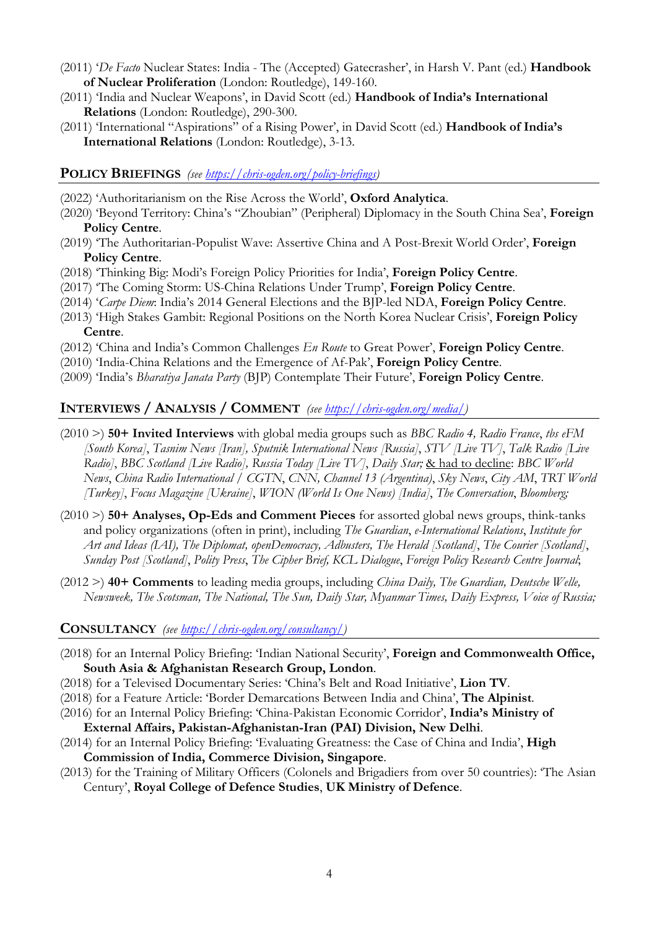- (2011) '*De Facto* Nuclear States: India The (Accepted) Gatecrasher', in Harsh V. Pant (ed.) **Handbook of Nuclear Proliferation** (London: Routledge), 149-160.
- (2011) 'India and Nuclear Weapons', in David Scott (ed.) **Handbook of India's International Relations** (London: Routledge), 290-300.
- (2011) 'International "Aspirations" of a Rising Power', in David Scott (ed.) **Handbook of India's International Relations** (London: Routledge), 3-13.

#### **POLICY BRIEFINGS** *(see https://chris-ogden.org/policy-briefings)*

- (2022) 'Authoritarianism on the Rise Across the World', **Oxford Analytica**.
- (2020) 'Beyond Territory: China's "Zhoubian" (Peripheral) Diplomacy in the South China Sea', **Foreign Policy Centre**.
- (2019) 'The Authoritarian-Populist Wave: Assertive China and A Post-Brexit World Order', **Foreign Policy Centre**.
- (2018) 'Thinking Big: Modi's Foreign Policy Priorities for India', **Foreign Policy Centre**.
- (2017) 'The Coming Storm: US-China Relations Under Trump', **Foreign Policy Centre**.
- (2014) '*Carpe Diem*: India's 2014 General Elections and the BJP-led NDA, **Foreign Policy Centre**.
- (2013) 'High Stakes Gambit: Regional Positions on the North Korea Nuclear Crisis', **Foreign Policy Centre**.
- (2012) 'China and India's Common Challenges *En Route* to Great Power', **Foreign Policy Centre**.
- (2010) 'India-China Relations and the Emergence of Af-Pak', **Foreign Policy Centre**.
- (2009) 'India's *Bharatiya Janata Party* (BJP) Contemplate Their Future', **Foreign Policy Centre**.

#### **INTERVIEWS / ANALYSIS / COMMENT** *(see https://chris-ogden.org/media/)*

- (2010 >) **50+ Invited Interviews** with global media groups such as *BBC Radio 4, Radio France*, *tbs eFM [South Korea]*, *Tasnim News [Iran], Sputnik International News [Russia]*, *STV [Live TV]*, *Talk Radio [Live Radio]*, *BBC Scotland [Live Radio], Russia Today [Live TV]*, *Daily Star;* & had to decline: *BBC World News*, *China Radio International / CGTN*, *CNN, Channel 13 (Argentina)*, *Sky News*, *City AM*, *TRT World [Turkey]*, *Focus Magazine [Ukraine]*, *WION (World Is One News) [India]*, *The Conversation*, *Bloomberg;*
- (2010 >) **50+ Analyses, Op-Eds and Comment Pieces** for assorted global news groups, think-tanks and policy organizations (often in print), including *The Guardian*, *e-International Relations*, *Institute for Art and Ideas (IAI), The Diplomat, openDemocracy, Adbusters, The Herald [Scotland]*, *The Courier [Scotland]*, *Sunday Post [Scotland]*, *Polity Press*, *The Cipher Brief, KCL Dialogue*, *Foreign Policy Research Centre Journal*;
- (2012 >) **40+ Comments** to leading media groups, including *China Daily, The Guardian, Deutsche Welle, Newsweek, The Scotsman, The National, The Sun, Daily Star, Myanmar Times, Daily Express, Voice of Russia;*

#### **CONSULTANCY** *(see https://chris-ogden.org/consultancy/)*

- (2018) for an Internal Policy Briefing: 'Indian National Security', **Foreign and Commonwealth Office, South Asia & Afghanistan Research Group, London**.
- (2018) for a Televised Documentary Series: 'China's Belt and Road Initiative', **Lion TV**.
- (2018) for a Feature Article: 'Border Demarcations Between India and China', **The Alpinist**.
- (2016) for an Internal Policy Briefing: 'China-Pakistan Economic Corridor', **India's Ministry of External Affairs, Pakistan-Afghanistan-Iran (PAI) Division, New Delhi**.
- (2014) for an Internal Policy Briefing: 'Evaluating Greatness: the Case of China and India', **High Commission of India, Commerce Division, Singapore**.
- (2013) for the Training of Military Officers (Colonels and Brigadiers from over 50 countries): 'The Asian Century', **Royal College of Defence Studies**, **UK Ministry of Defence**.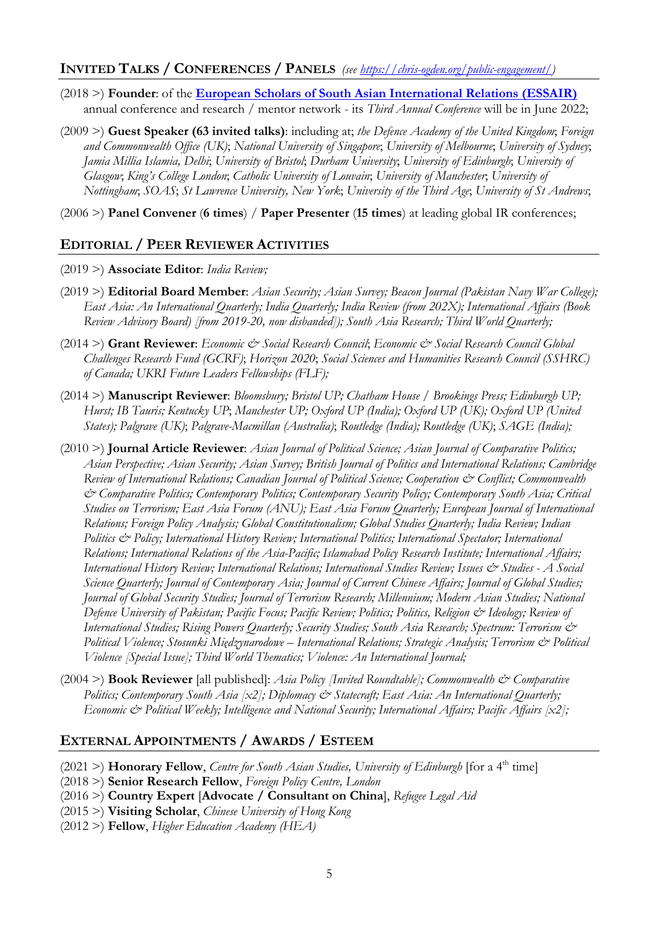# **INVITED TALKS / CONFERENCES / PANELS** *(see https://chris-ogden.org/public-engagement/)*

- (2018 >) **Founder**: of the **European Scholars of South Asian International Relations (ESSAIR)** annual conference and research / mentor network - its *Third Annual Conference* will be in June 2022;
- (2009 >) **Guest Speaker (63 invited talks)**: including at; *the Defence Academy of the United Kingdom*; *Foreign and Commonwealth Office (UK)*; *National University of Singapore*; *University of Melbourne*; *University of Sydney*; *Jamia Millia Islamia, Delhi*; *University of Bristol*; *Durham University*; *University of Edinburgh*; *University of Glasgow*; *King's College London*; *Catholic University of Louvain*; *University of Manchester*; *University of Nottingham*; *SOAS*; *St Lawrence University, New York*; *University of the Third Age*; *University of St Andrews*;

(2006 >) **Panel Convener** (**6 times**) / **Paper Presenter** (**15 times**) at leading global IR conferences;

# **EDITORIAL / PEER REVIEWER ACTIVITIES**

- (2019 >) **Associate Editor**: *India Review;*
- (2019 >) **Editorial Board Member**: *Asian Security; Asian Survey; Beacon Journal (Pakistan Navy War College); East Asia: An International Quarterly; India Quarterly; India Review (from 202X); International Affairs (Book Review Advisory Board) [from 2019-20, now disbanded]); South Asia Research; Third World Quarterly;*
- (2014 >) **Grant Reviewer**: *Economic & Social Research Council*; *Economic & Social Research Council Global Challenges Research Fund (GCRF)*; *Horizon 2020*; *Social Sciences and Humanities Research Council (SSHRC) of Canada; UKRI Future Leaders Fellowships (FLF);*
- (2014 >) **Manuscript Reviewer**: *Bloomsbury; Bristol UP; Chatham House / Brookings Press; Edinburgh UP; Hurst; IB Tauris; Kentucky UP*; *Manchester UP; Oxford UP (India); Oxford UP (UK); Oxford UP (United States); Palgrave (UK)*; *Palgrave-Macmillan (Australia)*; *Routledge (India); Routledge (UK)*; *SAGE (India);*
- (2010 >) **Journal Article Reviewer**: *Asian Journal of Political Science; Asian Journal of Comparative Politics; Asian Perspective; Asian Security; Asian Survey; British Journal of Politics and International Relations; Cambridge Review of International Relations; Canadian Journal of Political Science; Cooperation & Conflict; Commonwealth & Comparative Politics; Contemporary Politics; Contemporary Security Policy; Contemporary South Asia; Critical Studies on Terrorism; East Asia Forum (ANU); East Asia Forum Quarterly; European Journal of International Relations; Foreign Policy Analysis; Global Constitutionalism; Global Studies Quarterly; India Review; Indian Politics & Policy; International History Review; International Politics; International Spectator; International Relations; International Relations of the Asia-Pacific; Islamabad Policy Research Institute; International Affairs; International History Review; International Relations; International Studies Review; Issues & Studies - A Social Science Quarterly; Journal of Contemporary Asia; Journal of Current Chinese Affairs; Journal of Global Studies; Journal of Global Security Studies; Journal of Terrorism Research; Millennium; Modern Asian Studies; National Defence University of Pakistan; Pacific Focus; Pacific Review; Politics; Politics, Religion & Ideology; Review of International Studies; Rising Powers Quarterly; Security Studies; South Asia Research; Spectrum: Terrorism & Political Violence; Stosunki Międzynarodowe – International Relations; Strategic Analysis; Terrorism & Political Violence [Special Issue]; Third World Thematics; Violence: An International Journal;*
- (2004 >) **Book Reviewer** [all published]: *Asia Policy [Invited Roundtable]; Commonwealth & Comparative Politics; Contemporary South Asia [x2]; Diplomacy*  $\mathcal{O}$  *Statecraft; East Asia: An International Quarterly; Economic & Political Weekly; Intelligence and National Security; International Affairs; Pacific Affairs [x2];*

### **EXTERNAL APPOINTMENTS / AWARDS / ESTEEM**

- (2021 >) **Honorary Fellow**, *Centre for South Asian Studies*, *University of Edinburgh* [for a 4<sup>th</sup> time]
- (2018 >) **Senior Research Fellow**, *Foreign Policy Centre, London*
- (2016 >) **Country Expert** [**Advocate / Consultant on China**], *Refugee Legal Aid*
- (2015 >) **Visiting Scholar**, *Chinese University of Hong Kong*
- (2012 >) **Fellow**, *Higher Education Academy (HEA)*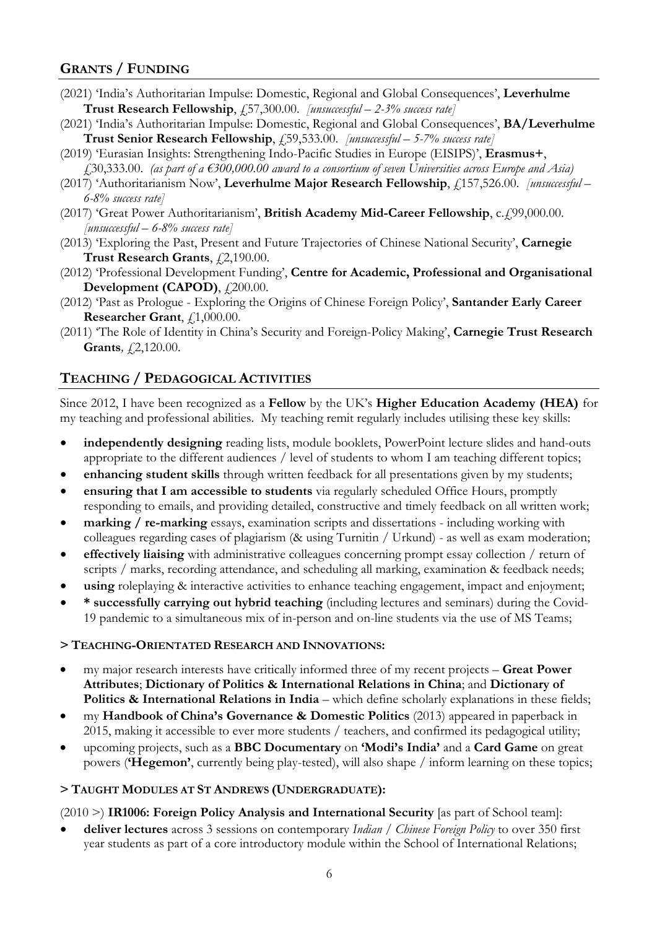# **GRANTS / FUNDING**

- (2021) 'India's Authoritarian Impulse: Domestic, Regional and Global Consequences', **Leverhulme Trust Research Fellowship**, £57,300.00. *[unsuccessful – 2-3% success rate]*
- (2021) 'India's Authoritarian Impulse: Domestic, Regional and Global Consequences', **BA/Leverhulme Trust Senior Research Fellowship**,  $\overline{f}$ , 59,533.00. *[unsuccessful – 5-7% success rate]*
- (2019) 'Eurasian Insights: Strengthening Indo-Pacific Studies in Europe (EISIPS)', **Erasmus+**, £30,333.00. *(as part of a €300,000.00 award to a consortium of seven Universities across Europe and Asia)*
- (2017) 'Authoritarianism Now', Leverhulme Major Research Fellowship, £157,526.00. *[unsuccessful 6-8% success rate]*
- (2017) 'Great Power Authoritarianism', British Academy Mid-Career Fellowship, c.£99,000.00. *[unsuccessful – 6-8% success rate]*
- (2013) 'Exploring the Past, Present and Future Trajectories of Chinese National Security', **Carnegie**  Trust Research Grants,  $f(2,190.00$ .
- (2012) 'Professional Development Funding', **Centre for Academic, Professional and Organisational Development (CAPOD)**,  $\ddot{\textit{f}}$  200.00.
- (2012) 'Past as Prologue Exploring the Origins of Chinese Foreign Policy', **Santander Early Career Researcher Grant**,  $f,1,000.00$ .
- (2011) 'The Role of Identity in China's Security and Foreign-Policy Making', **Carnegie Trust Research Grants***,*  $\ddagger$ 2,120.00.

# **TEACHING / PEDAGOGICAL ACTIVITIES**

Since 2012, I have been recognized as a **Fellow** by the UK's **Higher Education Academy (HEA)** for my teaching and professional abilities. My teaching remit regularly includes utilising these key skills:

- **independently designing** reading lists, module booklets, PowerPoint lecture slides and hand-outs appropriate to the different audiences / level of students to whom I am teaching different topics;
- **enhancing student skills** through written feedback for all presentations given by my students;
- **ensuring that I am accessible to students** via regularly scheduled Office Hours, promptly responding to emails, and providing detailed, constructive and timely feedback on all written work;
- **marking / re-marking** essays, examination scripts and dissertations including working with colleagues regarding cases of plagiarism (& using Turnitin / Urkund) - as well as exam moderation;
- **effectively liaising** with administrative colleagues concerning prompt essay collection / return of scripts / marks, recording attendance, and scheduling all marking, examination & feedback needs;
- **using** roleplaying & interactive activities to enhance teaching engagement, impact and enjoyment;
- **\* successfully carrying out hybrid teaching** (including lectures and seminars) during the Covid-19 pandemic to a simultaneous mix of in-person and on-line students via the use of MS Teams;

#### **> TEACHING-ORIENTATED RESEARCH AND INNOVATIONS:**

- my major research interests have critically informed three of my recent projects **Great Power Attributes**; **Dictionary of Politics & International Relations in China**; and **Dictionary of Politics & International Relations in India** – which define scholarly explanations in these fields;
- my **Handbook of China's Governance & Domestic Politics** (2013) appeared in paperback in 2015, making it accessible to ever more students / teachers, and confirmed its pedagogical utility;
- upcoming projects, such as a **BBC Documentary** on **'Modi's India'** and a **Card Game** on great powers (**'Hegemon'**, currently being play-tested), will also shape / inform learning on these topics;

### **> TAUGHT MODULES AT ST ANDREWS (UNDERGRADUATE):**

(2010 >) **IR1006: Foreign Policy Analysis and International Security** [as part of School team]:

• **deliver lectures** across 3 sessions on contemporary *Indian / Chinese Foreign Policy* to over 350 first year students as part of a core introductory module within the School of International Relations;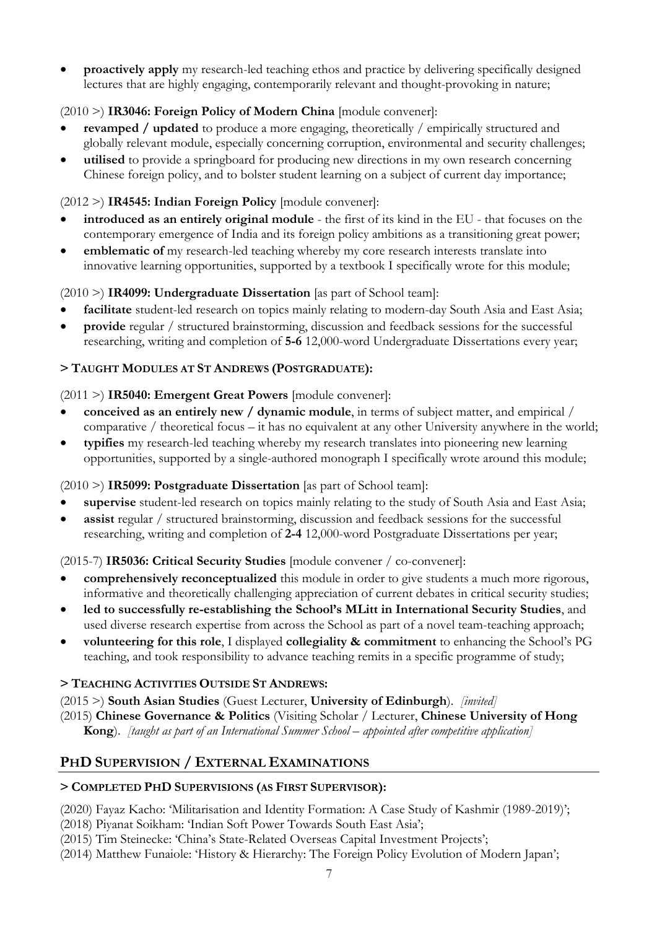• **proactively apply** my research-led teaching ethos and practice by delivering specifically designed lectures that are highly engaging, contemporarily relevant and thought-provoking in nature;

# (2010 >) **IR3046: Foreign Policy of Modern China** [module convener]:

- **revamped / updated** to produce a more engaging, theoretically / empirically structured and globally relevant module, especially concerning corruption, environmental and security challenges;
- **utilised** to provide a springboard for producing new directions in my own research concerning Chinese foreign policy, and to bolster student learning on a subject of current day importance;

# (2012 >) **IR4545: Indian Foreign Policy** [module convener]:

- **introduced as an entirely original module**  the first of its kind in the EU that focuses on the contemporary emergence of India and its foreign policy ambitions as a transitioning great power;
- **emblematic of** my research-led teaching whereby my core research interests translate into innovative learning opportunities, supported by a textbook I specifically wrote for this module;

# (2010 >) **IR4099: Undergraduate Dissertation** [as part of School team]:

- facilitate student-led research on topics mainly relating to modern-day South Asia and East Asia;
- **provide** regular / structured brainstorming, discussion and feedback sessions for the successful researching, writing and completion of **5-6** 12,000-word Undergraduate Dissertations every year;

# **> TAUGHT MODULES AT ST ANDREWS (POSTGRADUATE):**

# (2011 >) **IR5040: Emergent Great Powers** [module convener]:

- **conceived as an entirely new / dynamic module**, in terms of subject matter, and empirical / comparative / theoretical focus – it has no equivalent at any other University anywhere in the world;
- **typifies** my research-led teaching whereby my research translates into pioneering new learning opportunities, supported by a single-authored monograph I specifically wrote around this module;

# (2010 >) **IR5099: Postgraduate Dissertation** [as part of School team]:

- **supervise** student-led research on topics mainly relating to the study of South Asia and East Asia;
- **assist** regular / structured brainstorming, discussion and feedback sessions for the successful researching, writing and completion of **2-4** 12,000-word Postgraduate Dissertations per year;

# (2015-7) **IR5036: Critical Security Studies** [module convener / co-convener]:

- **comprehensively reconceptualized** this module in order to give students a much more rigorous, informative and theoretically challenging appreciation of current debates in critical security studies;
- **led to successfully re-establishing the School's MLitt in International Security Studies**, and used diverse research expertise from across the School as part of a novel team-teaching approach;
- **volunteering for this role**, I displayed **collegiality & commitment** to enhancing the School's PG teaching, and took responsibility to advance teaching remits in a specific programme of study;

# **> TEACHING ACTIVITIES OUTSIDE ST ANDREWS:**

(2015 >) **South Asian Studies** (Guest Lecturer, **University of Edinburgh**). *[invited]*

(2015) **Chinese Governance & Politics** (Visiting Scholar / Lecturer, **Chinese University of Hong Kong**). *[taught as part of an International Summer School – appointed after competitive application]*

# **PHD SUPERVISION / EXTERNAL EXAMINATIONS**

# **> COMPLETED PHD SUPERVISIONS (AS FIRST SUPERVISOR):**

(2020) Fayaz Kacho: 'Militarisation and Identity Formation: A Case Study of Kashmir (1989-2019)';

- (2018) Piyanat Soikham: 'Indian Soft Power Towards South East Asia';
- (2015) Tim Steinecke: 'China's State-Related Overseas Capital Investment Projects';
- (2014) Matthew Funaiole: 'History & Hierarchy: The Foreign Policy Evolution of Modern Japan';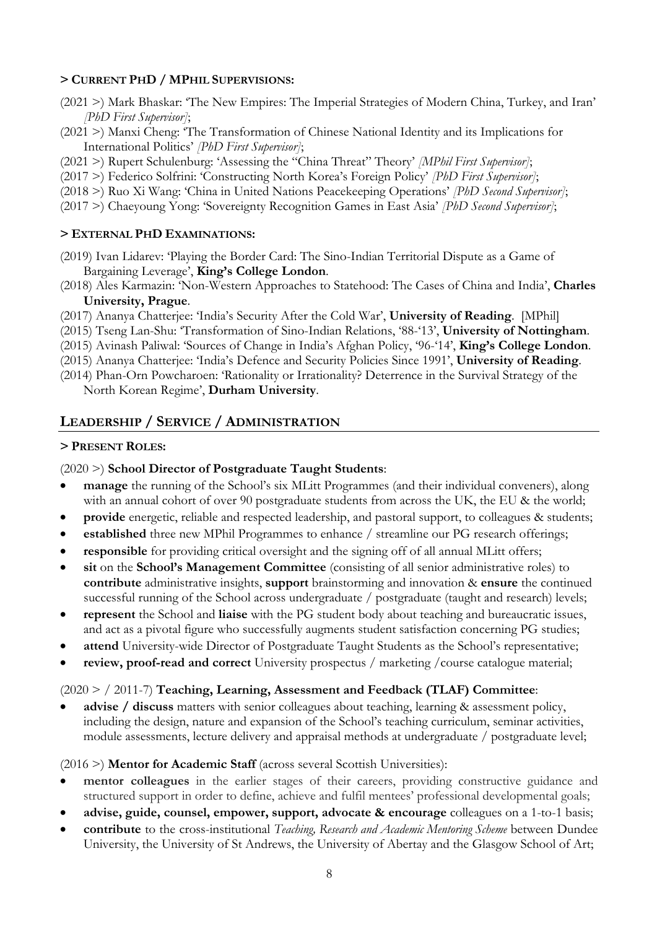#### **> CURRENT PHD / MPHIL SUPERVISIONS:**

- (2021 >) Mark Bhaskar: 'The New Empires: The Imperial Strategies of Modern China, Turkey, and Iran' *[PhD First Supervisor]*;
- (2021 >) Manxi Cheng: 'The Transformation of Chinese National Identity and its Implications for International Politics' *[PhD First Supervisor]*;
- (2021 >) Rupert Schulenburg: 'Assessing the "China Threat" Theory' *[MPhil First Supervisor]*;
- (2017 >) Federico Solfrini: 'Constructing North Korea's Foreign Policy' *[PhD First Supervisor]*;
- (2018 >) Ruo Xi Wang: 'China in United Nations Peacekeeping Operations' *[PhD Second Supervisor]*;
- (2017 >) Chaeyoung Yong: 'Sovereignty Recognition Games in East Asia' *[PhD Second Supervisor]*;

#### **> EXTERNAL PHD EXAMINATIONS:**

- (2019) Ivan Lidarev: 'Playing the Border Card: The Sino-Indian Territorial Dispute as a Game of Bargaining Leverage', **King's College London**.
- (2018) Ales Karmazin: 'Non-Western Approaches to Statehood: The Cases of China and India', **Charles University, Prague**.
- (2017) Ananya Chatterjee: 'India's Security After the Cold War', **University of Reading**. [MPhil]
- (2015) Tseng Lan-Shu: 'Transformation of Sino-Indian Relations, '88-'13', **University of Nottingham**.
- (2015) Avinash Paliwal: 'Sources of Change in India's Afghan Policy, '96-'14', **King's College London**.
- (2015) Ananya Chatterjee: 'India's Defence and Security Policies Since 1991', **University of Reading**.
- (2014) Phan-Orn Powcharoen: 'Rationality or Irrationality? Deterrence in the Survival Strategy of the North Korean Regime', **Durham University**.

## **LEADERSHIP / SERVICE / ADMINISTRATION**

#### **> PRESENT ROLES:**

#### (2020 >) **School Director of Postgraduate Taught Students**:

- **manage** the running of the School's six MLitt Programmes (and their individual conveners), along with an annual cohort of over 90 postgraduate students from across the UK, the EU & the world;
- **provide** energetic, reliable and respected leadership, and pastoral support, to colleagues & students;
- **established** three new MPhil Programmes to enhance / streamline our PG research offerings;
- **responsible** for providing critical oversight and the signing off of all annual MLitt offers;
- **sit** on the **School's Management Committee** (consisting of all senior administrative roles) to **contribute** administrative insights, **support** brainstorming and innovation & **ensure** the continued successful running of the School across undergraduate / postgraduate (taught and research) levels;
- **represent** the School and **liaise** with the PG student body about teaching and bureaucratic issues, and act as a pivotal figure who successfully augments student satisfaction concerning PG studies;
- **attend** University-wide Director of Postgraduate Taught Students as the School's representative;
- **review, proof-read and correct** University prospectus / marketing /course catalogue material;

### (2020 > / 2011-7) **Teaching, Learning, Assessment and Feedback (TLAF) Committee**:

• **advise / discuss** matters with senior colleagues about teaching, learning & assessment policy, including the design, nature and expansion of the School's teaching curriculum, seminar activities, module assessments, lecture delivery and appraisal methods at undergraduate / postgraduate level;

#### (2016 >) **Mentor for Academic Staff** (across several Scottish Universities):

- **mentor colleagues** in the earlier stages of their careers, providing constructive guidance and structured support in order to define, achieve and fulfil mentees' professional developmental goals;
- **advise, guide, counsel, empower, support, advocate & encourage** colleagues on a 1-to-1 basis;
- **contribute** to the cross-institutional *Teaching, Research and Academic Mentoring Scheme* between Dundee University, the University of St Andrews, the University of Abertay and the Glasgow School of Art;